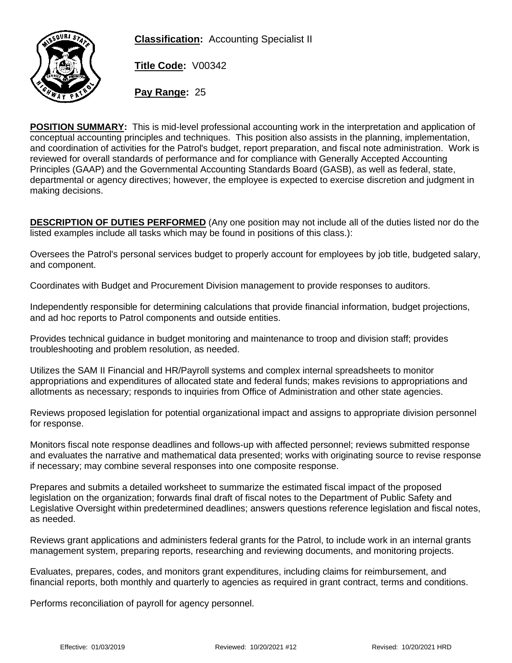**Classification:** Accounting Specialist II



**Title Code:** V00342

**Pay Range:** 25

**POSITION SUMMARY:** This is mid-level professional accounting work in the interpretation and application of conceptual accounting principles and techniques. This position also assists in the planning, implementation, and coordination of activities for the Patrol's budget, report preparation, and fiscal note administration. Work is reviewed for overall standards of performance and for compliance with Generally Accepted Accounting Principles (GAAP) and the Governmental Accounting Standards Board (GASB), as well as federal, state, departmental or agency directives; however, the employee is expected to exercise discretion and judgment in making decisions.

**DESCRIPTION OF DUTIES PERFORMED** (Any one position may not include all of the duties listed nor do the listed examples include all tasks which may be found in positions of this class.):

Oversees the Patrol's personal services budget to properly account for employees by job title, budgeted salary, and component.

Coordinates with Budget and Procurement Division management to provide responses to auditors.

Independently responsible for determining calculations that provide financial information, budget projections, and ad hoc reports to Patrol components and outside entities.

Provides technical guidance in budget monitoring and maintenance to troop and division staff; provides troubleshooting and problem resolution, as needed.

Utilizes the SAM II Financial and HR/Payroll systems and complex internal spreadsheets to monitor appropriations and expenditures of allocated state and federal funds; makes revisions to appropriations and allotments as necessary; responds to inquiries from Office of Administration and other state agencies.

Reviews proposed legislation for potential organizational impact and assigns to appropriate division personnel for response.

Monitors fiscal note response deadlines and follows-up with affected personnel; reviews submitted response and evaluates the narrative and mathematical data presented; works with originating source to revise response if necessary; may combine several responses into one composite response.

Prepares and submits a detailed worksheet to summarize the estimated fiscal impact of the proposed legislation on the organization; forwards final draft of fiscal notes to the Department of Public Safety and Legislative Oversight within predetermined deadlines; answers questions reference legislation and fiscal notes, as needed.

Reviews grant applications and administers federal grants for the Patrol, to include work in an internal grants management system, preparing reports, researching and reviewing documents, and monitoring projects.

Evaluates, prepares, codes, and monitors grant expenditures, including claims for reimbursement, and financial reports, both monthly and quarterly to agencies as required in grant contract, terms and conditions.

Performs reconciliation of payroll for agency personnel.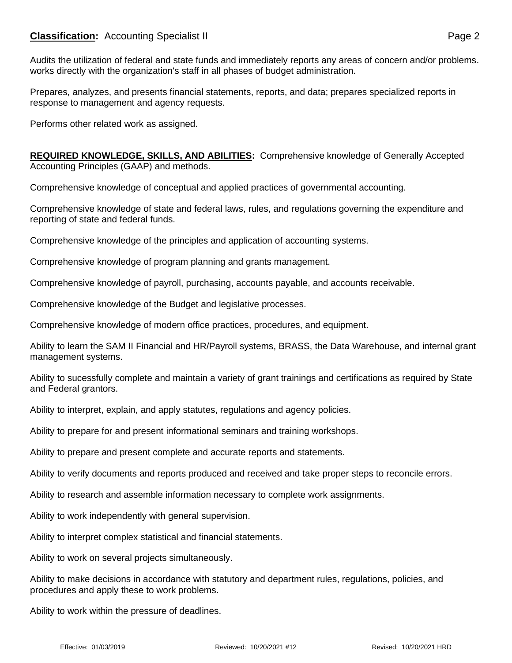## **Classification:** Accounting Specialist II **Classification:** Page 2

Audits the utilization of federal and state funds and immediately reports any areas of concern and/or problems. works directly with the organization's staff in all phases of budget administration.

Prepares, analyzes, and presents financial statements, reports, and data; prepares specialized reports in response to management and agency requests.

Performs other related work as assigned.

**REQUIRED KNOWLEDGE, SKILLS, AND ABILITIES:** Comprehensive knowledge of Generally Accepted Accounting Principles (GAAP) and methods.

Comprehensive knowledge of conceptual and applied practices of governmental accounting.

Comprehensive knowledge of state and federal laws, rules, and regulations governing the expenditure and reporting of state and federal funds.

Comprehensive knowledge of the principles and application of accounting systems.

Comprehensive knowledge of program planning and grants management.

Comprehensive knowledge of payroll, purchasing, accounts payable, and accounts receivable.

Comprehensive knowledge of the Budget and legislative processes.

Comprehensive knowledge of modern office practices, procedures, and equipment.

Ability to learn the SAM II Financial and HR/Payroll systems, BRASS, the Data Warehouse, and internal grant management systems.

Ability to sucessfully complete and maintain a variety of grant trainings and certifications as required by State and Federal grantors.

Ability to interpret, explain, and apply statutes, regulations and agency policies.

Ability to prepare for and present informational seminars and training workshops.

Ability to prepare and present complete and accurate reports and statements.

Ability to verify documents and reports produced and received and take proper steps to reconcile errors.

Ability to research and assemble information necessary to complete work assignments.

Ability to work independently with general supervision.

Ability to interpret complex statistical and financial statements.

Ability to work on several projects simultaneously.

Ability to make decisions in accordance with statutory and department rules, regulations, policies, and procedures and apply these to work problems.

Ability to work within the pressure of deadlines.